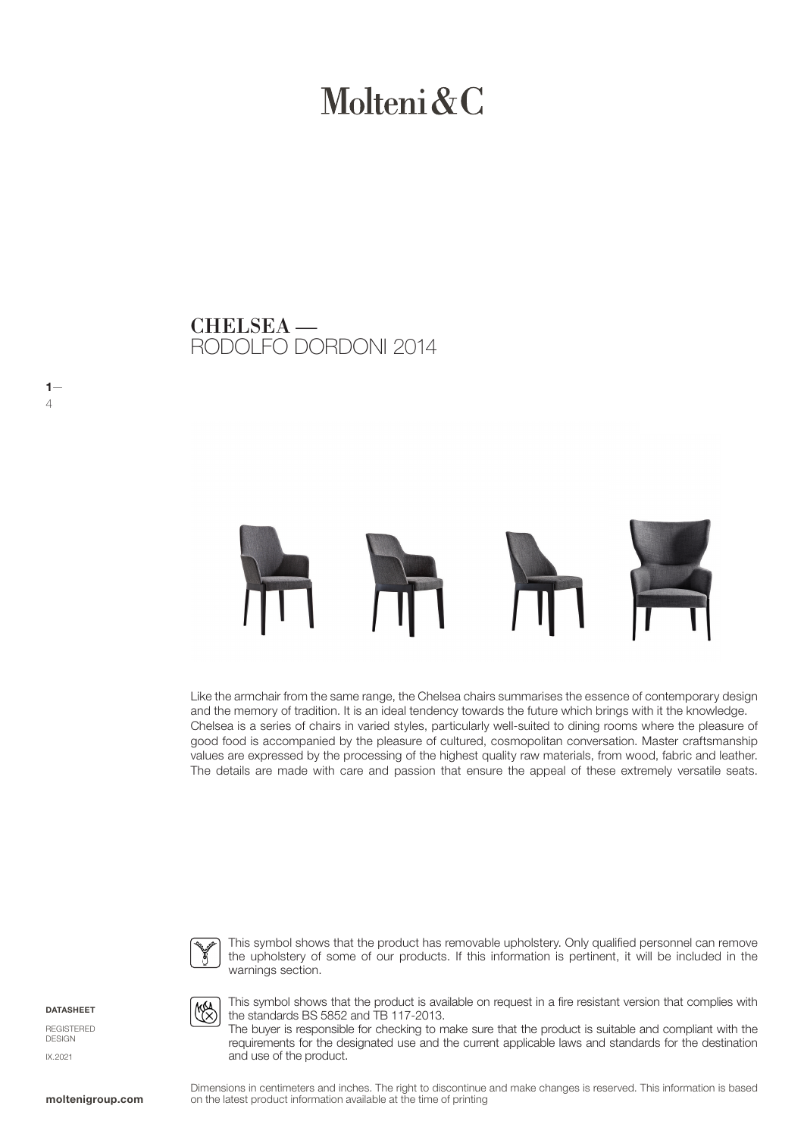# Molteni  $\&C$

RODOLFO DORDONI 2014 CHELSEA —



Like the armchair from the same range, the Chelsea chairs summarises the essence of contemporary design and the memory of tradition. It is an ideal tendency towards the future which brings with it the knowledge. Chelsea is a series of chairs in varied styles, particularly well-suited to dining rooms where the pleasure of good food is accompanied by the pleasure of cultured, cosmopolitan conversation. Master craftsmanship values are expressed by the processing of the highest quality raw materials, from wood, fabric and leather. The details are made with care and passion that ensure the appeal of these extremely versatile seats.



This symbol shows that the product has removable upholstery. Only qualified personnel can remove the upholstery of some of our products. If this information is pertinent, it will be included in the warnings section.

**DATASHEET** 

 $1-$ 

4

REGISTERED DESIGN IX.2021



This symbol shows that the product is available on request in a fire resistant version that complies with the standards BS 5852 and TB 117-2013.

The buyer is responsible for checking to make sure that the product is suitable and compliant with the requirements for the designated use and the current applicable laws and standards for the destination and use of the product.

Dimensions in centimeters and inches. The right to discontinue and make changes is reserved. This information is based on the latest product information available at the time of printing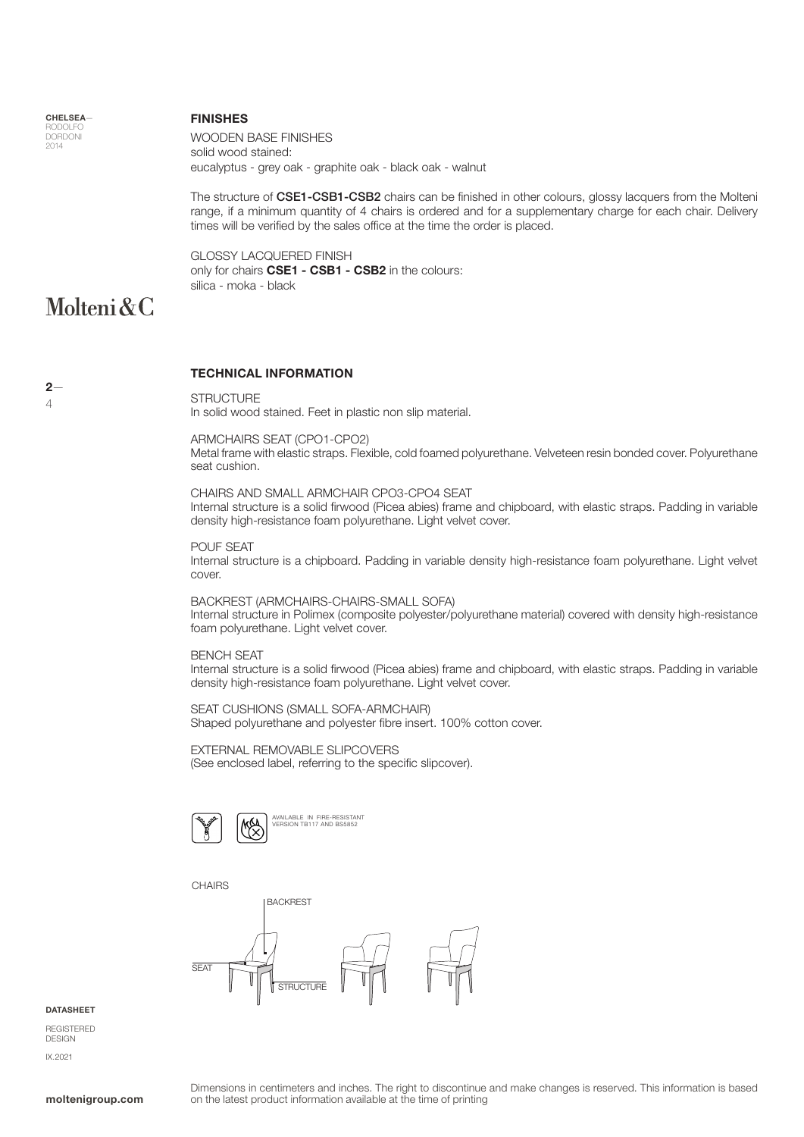**CHELSEA** RODOLFO DORDONI 2014

#### FINISHES

WOODEN BASE FINISHES solid wood stained: eucalyptus - grey oak - graphite oak - black oak - walnut

The structure of CSE1-CSB1-CSB2 chairs can be finished in other colours, glossy lacquers from the Molteni range, if a minimum quantity of 4 chairs is ordered and for a supplementary charge for each chair. Delivery times will be verified by the sales office at the time the order is placed.

GLOSSY LACQUERED FINISH only for chairs CSE1 - CSB1 - CSB2 in the colours: silica - moka - black

### Molteni&C

 $2-$ 

4

### TECHNICAL INFORMATION

**STRUCTURE** In solid wood stained. Feet in plastic non slip material.

ARMCHAIRS SEAT (CPO1-CPO2) Metal frame with elastic straps. Flexible, cold foamed polyurethane. Velveteen resin bonded cover. Polyurethane seat cushion.

CHAIRS AND SMALL ARMCHAIR CPO3-CPO4 SEAT Internal structure is a solid firwood (Picea abies) frame and chipboard, with elastic straps. Padding in variable density high-resistance foam polyurethane. Light velvet cover.

POUF SEAT Internal structure is a chipboard. Padding in variable density high-resistance foam polyurethane. Light velvet cover.

BACKREST (ARMCHAIRS-CHAIRS-SMALL SOFA) Internal structure in Polimex (composite polyester/polyurethane material) covered with density high-resistance foam polyurethane. Light velvet cover.

BENCH SEAT Internal structure is a solid firwood (Picea abies) frame and chipboard, with elastic straps. Padding in variable density high-resistance foam polyurethane. Light velvet cover.

SEAT CUSHIONS (SMALL SOFA-ARMCHAIR) Shaped polyurethane and polyester fibre insert. 100% cotton cover.

EXTERNAL REMOVABLE SLIPCOVERS (See enclosed label, referring to the specific slipcover).



AVAILABLE IN FIRE-RESISTANT VERSION TB117 AND BS5852

**CHAIRS** 



#### **DATASHEET**

**REGISTERED** DESIGN IX.2021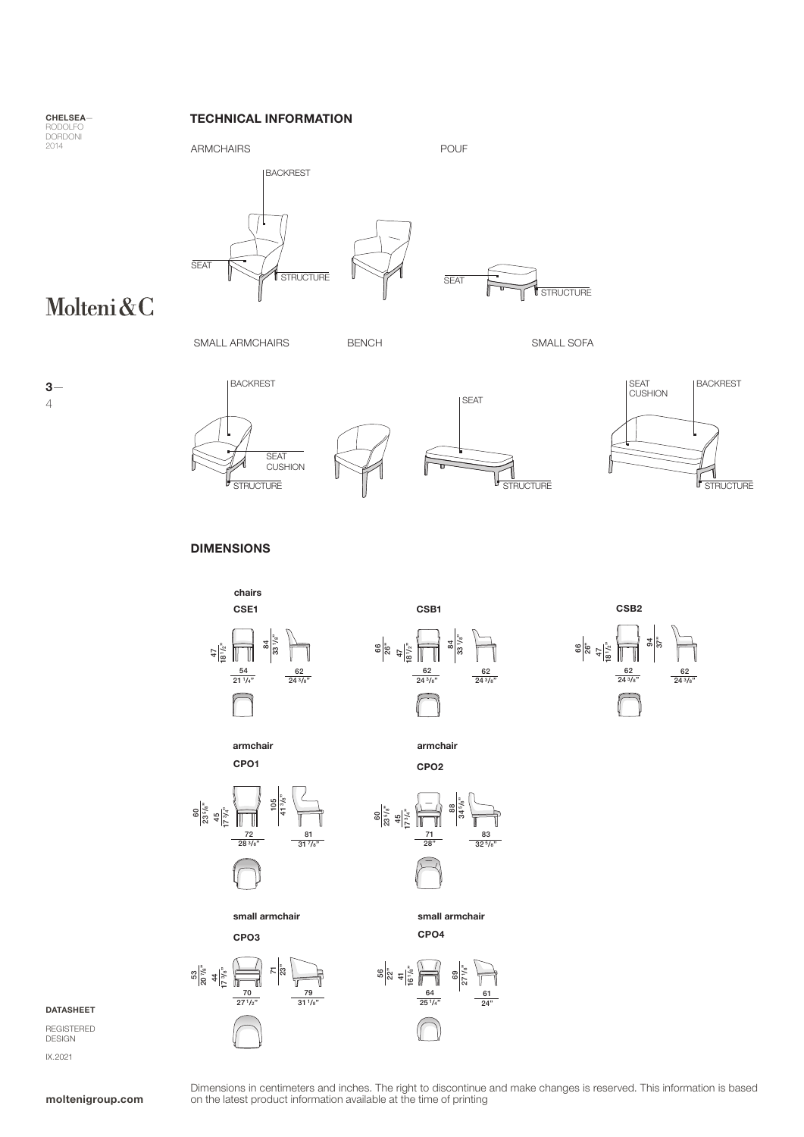CHELSEA— RODOLFO DORDONI

### TECHNICAL INFORMATION





## Molteni&C

3—

4

SMALL ARMCHAIRS BENCH BENCH SMALL SOFA









DIMENSIONS



DATASHEET

REGISTERED DESIGN IX.2021

Dimensions in centimeters and inches. The right to discontinue and make changes is reserved. This information is based on the latest product information available at the time of printing